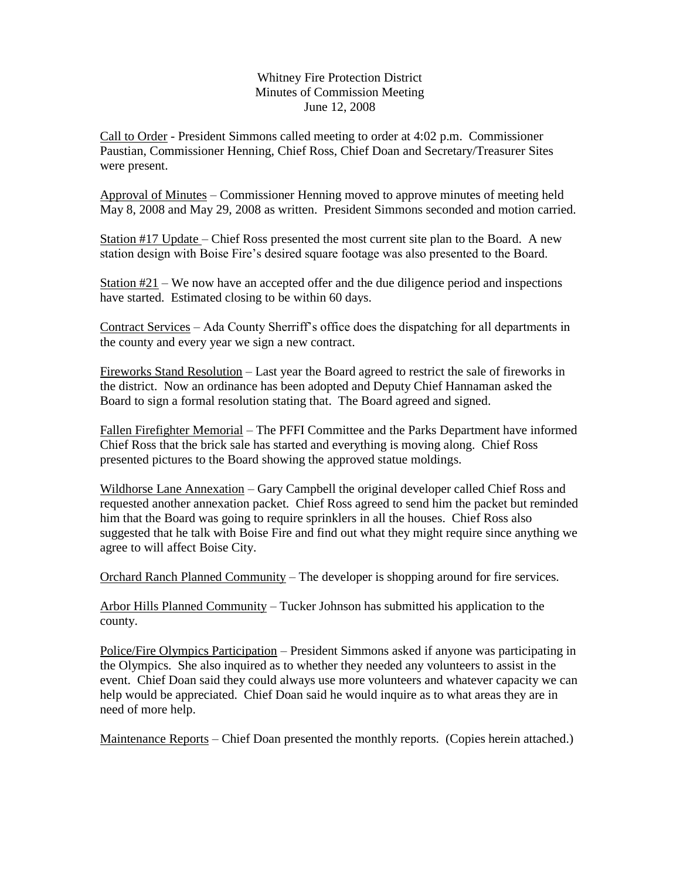## Whitney Fire Protection District Minutes of Commission Meeting June 12, 2008

Call to Order - President Simmons called meeting to order at 4:02 p.m. Commissioner Paustian, Commissioner Henning, Chief Ross, Chief Doan and Secretary/Treasurer Sites were present.

Approval of Minutes – Commissioner Henning moved to approve minutes of meeting held May 8, 2008 and May 29, 2008 as written. President Simmons seconded and motion carried.

Station #17 Update – Chief Ross presented the most current site plan to the Board. A new station design with Boise Fire's desired square footage was also presented to the Board.

Station #21 – We now have an accepted offer and the due diligence period and inspections have started. Estimated closing to be within 60 days.

Contract Services – Ada County Sherriff's office does the dispatching for all departments in the county and every year we sign a new contract.

Fireworks Stand Resolution – Last year the Board agreed to restrict the sale of fireworks in the district. Now an ordinance has been adopted and Deputy Chief Hannaman asked the Board to sign a formal resolution stating that. The Board agreed and signed.

Fallen Firefighter Memorial – The PFFI Committee and the Parks Department have informed Chief Ross that the brick sale has started and everything is moving along. Chief Ross presented pictures to the Board showing the approved statue moldings.

Wildhorse Lane Annexation – Gary Campbell the original developer called Chief Ross and requested another annexation packet. Chief Ross agreed to send him the packet but reminded him that the Board was going to require sprinklers in all the houses. Chief Ross also suggested that he talk with Boise Fire and find out what they might require since anything we agree to will affect Boise City.

Orchard Ranch Planned Community – The developer is shopping around for fire services.

Arbor Hills Planned Community – Tucker Johnson has submitted his application to the county.

Police/Fire Olympics Participation – President Simmons asked if anyone was participating in the Olympics. She also inquired as to whether they needed any volunteers to assist in the event. Chief Doan said they could always use more volunteers and whatever capacity we can help would be appreciated. Chief Doan said he would inquire as to what areas they are in need of more help.

Maintenance Reports – Chief Doan presented the monthly reports. (Copies herein attached.)